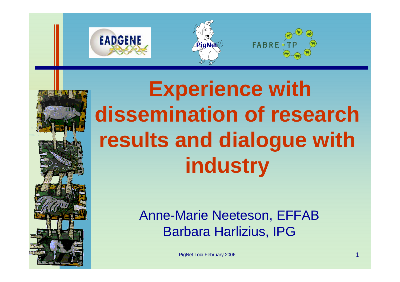







# **Experience with dissemination of research results and dialogue with industry**

Anne-Marie Neeteson, EFFAB Barbara Harlizius, IPG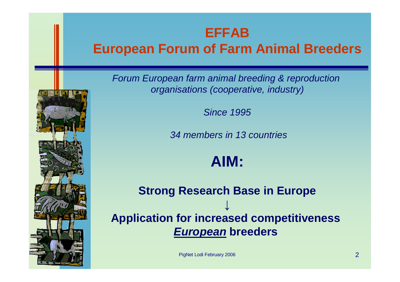#### **EFFAB**

### **European Forum of Farm Animal Breeders**

*Forum European farm animal breeding & reproduction organisations (cooperative, industry)*

*Since 1995*

*34 members in 13 countries*

**AIM:**

**Strong Research Base in Europe ↓ Application for increased competitiveness** *European* **breeders**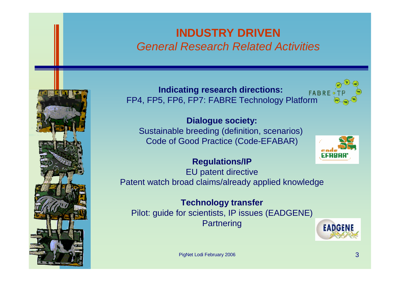#### **INDUSTRY DRIVEN** *General Research Related Activities*



**Indicating research directions:**  FP4, FP5, FP6, FP7: FABRE Technology Platform



**Dialogue society:**

Sustainable breeding (definition, scenarios) Code of Good Practice (Code-EFABAR)



#### **Regulations/IP**

EU patent directive Patent watch broad claims/already applied knowledge

**Technology transfer**

Pilot: guide for scientists, IP issues (EADGENE) **Partnering** 

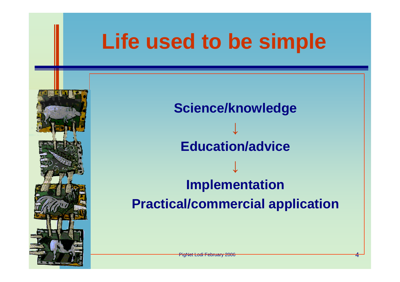

**Practical/commercial application**

**PigNet Lodi February 2006**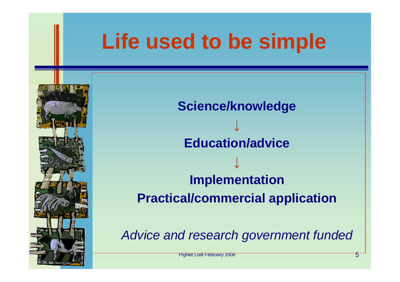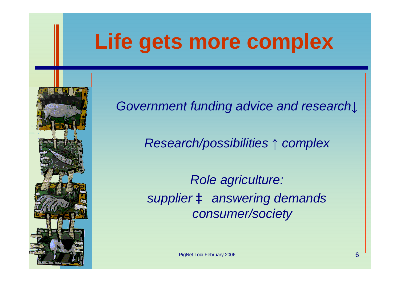## **Life gets more complex**



*Government funding advice and research↓*

*Research/possibilities ↑ complex*

*Role agriculture: supplier à answering demands consumer/society*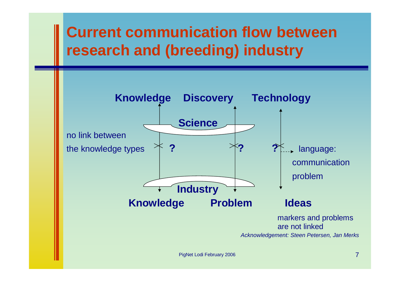## **Current communication flow between research and (breeding) industry**



PigNet Lodi February 2006 7 and 2006 7 and 2006 7 and 2006 7 and 2006 7 and 2006 7 and 2006 7 and 2006 7 and 2006 7 and 2006 7 and 2006 7 and 2006 7 and 2006 7 and 2006 7 and 2006 7 and 2006 7 and 2006 7 and 2006 7 and 200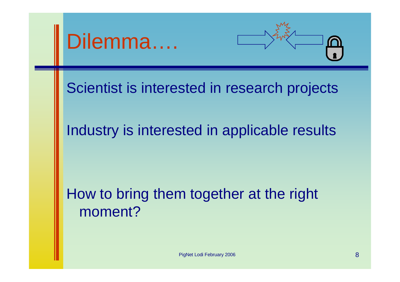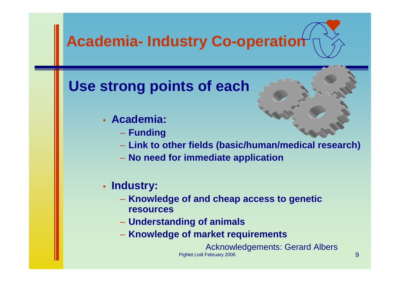

PigNet Lodi February 2006 9 PigNet Lodi February 2006 Acknowledgements: Gerard Albers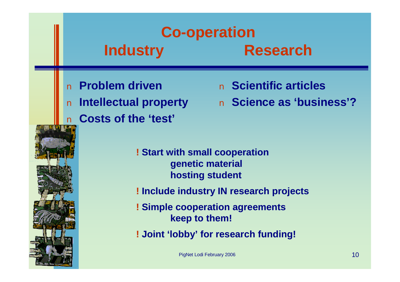## **Co-operation Industry Research**

**n** Problem driven<br> **n** Intellectual prop<br> **n** Costs of the 'te n **Costs of the 'test'**

- n **Scientific articles**
- n **Intellectual property** n **Science as 'business'?**

![](_page_9_Picture_4.jpeg)

**! Start with small cooperation genetic material hosting student**

**! Include industry IN research projects**

**! Simple cooperation agreements keep to them!**

**! Joint 'lobby' for research funding!**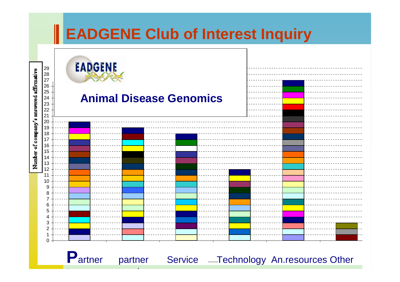![](_page_10_Figure_0.jpeg)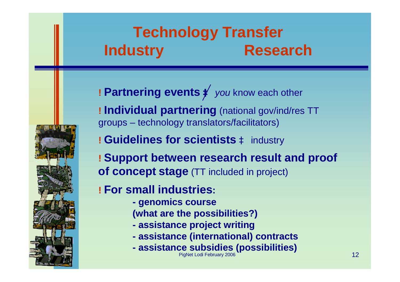## **Technology Transfer Industry Research**

![](_page_11_Picture_1.jpeg)

**! Individual partnering** (national gov/ind/res TT groups – technology translators/facilitators)

**! Guidelines for scientists** à industry

**! Support between research result and proof of concept stage** (TT included in project)

**! For small industries:**

- **- genomics course**
- **(what are the possibilities?)**
- **- assistance project writing**
- **- assistance (international) contracts**
- PigNet Lodi February 2006 12 and 2007 12 **- assistance subsidies (possibilities)**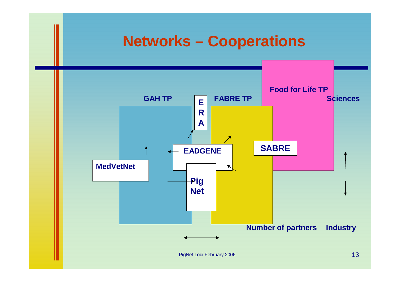## **Networks – Cooperations**

![](_page_12_Figure_1.jpeg)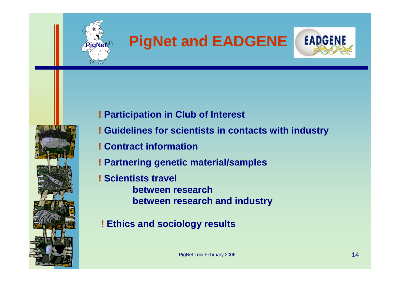![](_page_13_Picture_0.jpeg)

# **PigNet and EADGENE**<br> **!** Participation in Club of Interest<br> **!** Guidelines for scientists in contacts with<br> **!** Contract information<br> **!** Partnering genetic material/samples<br> **!** Scientists travel

![](_page_13_Picture_2.jpeg)

![](_page_13_Picture_3.jpeg)

- **! Participation in Club of Interest**
- **! Guidelines for scientists in contacts with industry**
- **! Contract information**
- **! Partnering genetic material/samples**
- **! Scientists travel** 
	- **between research between research and industry**
- **! Ethics and sociology results**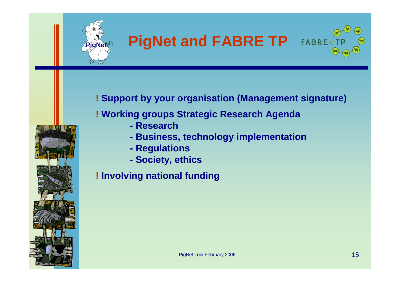![](_page_14_Picture_0.jpeg)

## **PigNet and FABRE TP FABRE**

![](_page_14_Picture_2.jpeg)

**! Support by your organisation (Management signature)**

#### **! Working groups Strategic Research Agenda**

- **- Research**
- **- Business, technology implementation**
- **- Regulations**
- **- Society, ethics**

**! Involving national funding**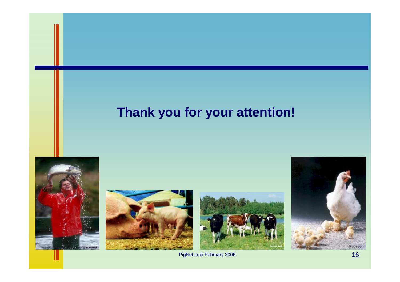## **Thank you for your attention!**

![](_page_15_Picture_1.jpeg)

![](_page_15_Picture_2.jpeg)

![](_page_15_Picture_3.jpeg)

![](_page_15_Picture_4.jpeg)

**PigNet Lodi February 2006** 16 and 2006 16 and 2006 16 and 2006 16 and 2006 16 and 2006 16 and 2006 16 and 2006 16 and 2006 16 and 2006 16 and 2006 16 and 2006 16 and 2006 16 and 2006 16 and 2006 16 and 2006 16 and 2006 16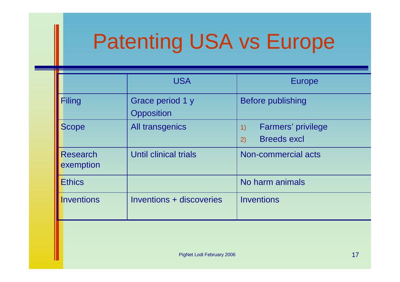# Patenting USA vs Europe

| <b>USA</b>                            | <b>Europe</b>                                        |
|---------------------------------------|------------------------------------------------------|
| Grace period 1 y<br><b>Opposition</b> | <b>Before publishing</b>                             |
| All transgenics                       | Farmers' privilege<br>1)<br><b>Breeds excl</b><br>2) |
| Until clinical trials                 | Non-commercial acts                                  |
|                                       | No harm animals                                      |
| Inventions + discoveries              | <b>Inventions</b>                                    |
|                                       |                                                      |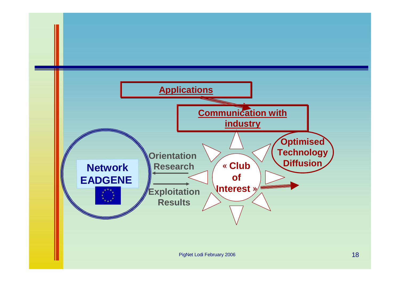![](_page_17_Figure_0.jpeg)